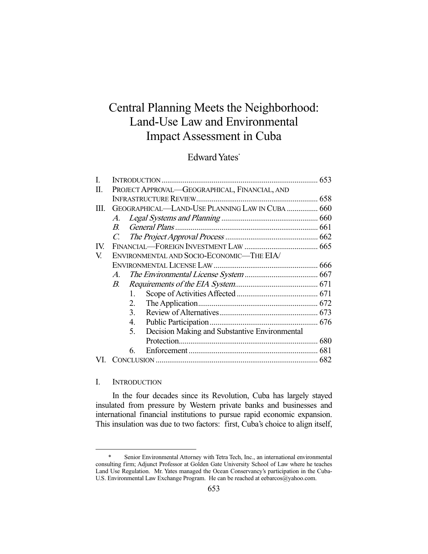# Central Planning Meets the Neighborhood: Land-Use Law and Environmental Impact Assessment in Cuba

## Edward Yates\*

| I.  |                                                 |                                               |  |
|-----|-------------------------------------------------|-----------------------------------------------|--|
| П.  | PROJECT APPROVAL-GEOGRAPHICAL, FINANCIAL, AND   |                                               |  |
|     |                                                 |                                               |  |
| Ш.  | GEOGRAPHICAL—LAND-USE PLANNING LAW IN CUBA  660 |                                               |  |
|     | А.                                              |                                               |  |
|     | $B_{\cdot}$                                     |                                               |  |
|     |                                                 |                                               |  |
| IV. |                                                 |                                               |  |
| V.  | ENVIRONMENTAL AND SOCIO-ECONOMIC-THE EIA/       |                                               |  |
|     |                                                 |                                               |  |
|     | $\mathcal{A}$ .                                 |                                               |  |
|     | В.                                              |                                               |  |
|     | $1_{-}$                                         |                                               |  |
|     | 2.                                              |                                               |  |
|     | 3.                                              |                                               |  |
|     | 4.                                              |                                               |  |
|     | 5.                                              | Decision Making and Substantive Environmental |  |
|     |                                                 |                                               |  |
|     | 6.                                              |                                               |  |
|     |                                                 |                                               |  |

## I. INTRODUCTION

-

 In the four decades since its Revolution, Cuba has largely stayed insulated from pressure by Western private banks and businesses and international financial institutions to pursue rapid economic expansion. This insulation was due to two factors: first, Cuba's choice to align itself,

 <sup>\*</sup> Senior Environmental Attorney with Tetra Tech, Inc., an international environmental consulting firm; Adjunct Professor at Golden Gate University School of Law where he teaches Land Use Regulation. Mr. Yates managed the Ocean Conservancy's participation in the Cuba-U.S. Environmental Law Exchange Program. He can be reached at eebarcos@yahoo.com.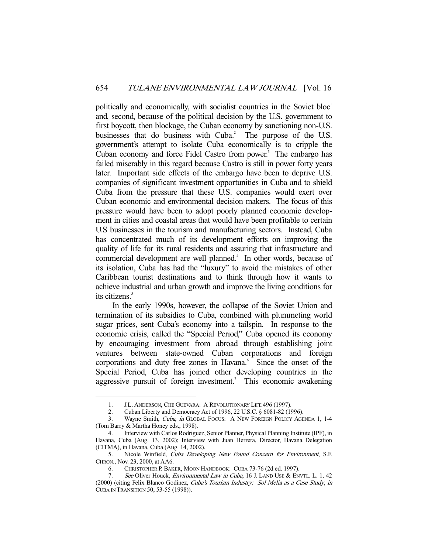politically and economically, with socialist countries in the Soviet bloc<sup>1</sup> and, second, because of the political decision by the U.S. government to first boycott, then blockage, the Cuban economy by sanctioning non-U.S. businesses that do business with Cuba.<sup>2</sup> The purpose of the U.S. government's attempt to isolate Cuba economically is to cripple the Cuban economy and force Fidel Castro from power.<sup>3</sup> The embargo has failed miserably in this regard because Castro is still in power forty years later. Important side effects of the embargo have been to deprive U.S. companies of significant investment opportunities in Cuba and to shield Cuba from the pressure that these U.S. companies would exert over Cuban economic and environmental decision makers. The focus of this pressure would have been to adopt poorly planned economic development in cities and coastal areas that would have been profitable to certain U.S businesses in the tourism and manufacturing sectors. Instead, Cuba has concentrated much of its development efforts on improving the quality of life for its rural residents and assuring that infrastructure and commercial development are well planned.<sup>4</sup> In other words, because of its isolation, Cuba has had the "luxury" to avoid the mistakes of other Caribbean tourist destinations and to think through how it wants to achieve industrial and urban growth and improve the living conditions for its citizens.<sup>5</sup>

 In the early 1990s, however, the collapse of the Soviet Union and termination of its subsidies to Cuba, combined with plummeting world sugar prices, sent Cuba's economy into a tailspin. In response to the economic crisis, called the "Special Period," Cuba opened its economy by encouraging investment from abroad through establishing joint ventures between state-owned Cuban corporations and foreign corporations and duty free zones in Havana.<sup>6</sup> Since the onset of the Special Period, Cuba has joined other developing countries in the aggressive pursuit of foreign investment.<sup>7</sup> This economic awakening

 <sup>1.</sup> J.L. ANDERSON, CHE GUEVARA: A REVOLUTIONARY LIFE 496 (1997).

 <sup>2.</sup> Cuban Liberty and Democracy Act of 1996, 22 U.S.C. § 6081-82 (1996).

 <sup>3.</sup> Wayne Smith, Cuba, in GLOBAL FOCUS: A NEW FOREIGN POLICY AGENDA 1, 1-4 (Tom Barry & Martha Honey eds., 1998).

 <sup>4.</sup> Interview with Carlos Rodriguez, Senior Planner, Physical Planning Institute (IPF), in Havana, Cuba (Aug. 13, 2002); Interview with Juan Herrera, Director, Havana Delegation (CITMA), in Havana, Cuba (Aug. 14, 2002).

 <sup>5.</sup> Nicole Winfield, Cuba Developing New Found Concern for Environment, S.F. CHRON., Nov. 23, 2000, at AA6.

 <sup>6.</sup> CHRISTOPHER P. BAKER, MOON HANDBOOK: CUBA 73-76 (2d ed. 1997).

See Oliver Houck, Environmental Law in Cuba, 16 J. LAND USE & ENVTL. L. 1, 42 (2000) (citing Felix Blanco Godinez, Cuba's Tourism Industry: Sol Melia as a Case Study, in CUBA IN TRANSITION 50, 53-55 (1998)).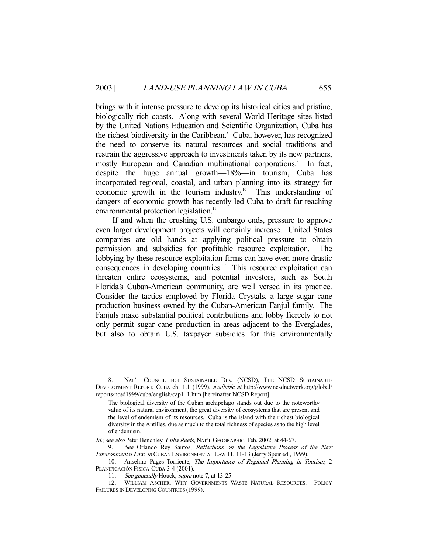brings with it intense pressure to develop its historical cities and pristine, biologically rich coasts. Along with several World Heritage sites listed by the United Nations Education and Scientific Organization, Cuba has the richest biodiversity in the Caribbean.<sup>8</sup> Cuba, however, has recognized the need to conserve its natural resources and social traditions and restrain the aggressive approach to investments taken by its new partners, mostly European and Canadian multinational corporations.<sup>9</sup> In fact, despite the huge annual growth—18%—in tourism, Cuba has incorporated regional, coastal, and urban planning into its strategy for economic growth in the tourism industry.<sup>10</sup> This understanding of dangers of economic growth has recently led Cuba to draft far-reaching environmental protection legislation.<sup>11</sup>

 If and when the crushing U.S. embargo ends, pressure to approve even larger development projects will certainly increase. United States companies are old hands at applying political pressure to obtain permission and subsidies for profitable resource exploitation. The lobbying by these resource exploitation firms can have even more drastic consequences in developing countries.<sup>12</sup> This resource exploitation can threaten entire ecosystems, and potential investors, such as South Florida's Cuban-American community, are well versed in its practice. Consider the tactics employed by Florida Crystals, a large sugar cane production business owned by the Cuban-American Fanjul family. The Fanjuls make substantial political contributions and lobby fiercely to not only permit sugar cane production in areas adjacent to the Everglades, but also to obtain U.S. taxpayer subsidies for this environmentally

<sup>8.</sup> NAT'L COUNCIL FOR SUSTAINABLE DEV. (NCSD), THE NCSD SUSTAINABLE DEVELOPMENT REPORT, CUBA ch. 1.1 (1999), available at http://www.ncsdnetwork.org/global/ reports/ncsd1999/cuba/english/cap1\_1.htm [hereinafter NCSD Report].

The biological diversity of the Cuban archipelago stands out due to the noteworthy value of its natural environment, the great diversity of ecosystems that are present and the level of endemism of its resources. Cuba is the island with the richest biological diversity in the Antilles, due as much to the total richness of species as to the high level of endemism.

Id.; see also Peter Benchley, Cuba Reefs, NAT'L GEOGRAPHIC, Feb. 2002, at 44-67.

<sup>9.</sup> See Orlando Rey Santos, Reflections on the Legislative Process of the New Environmental Law, in CUBAN ENVIRONMENTAL LAW 11, 11-13 (Jerry Speir ed., 1999).

<sup>10.</sup> Anselmo Pages Torriente, The Importance of Regional Planning in Tourism, 2 PLANIFICACIÓN FÍSICA-CUBA 3-4 (2001).

<sup>11.</sup> See generally Houck, supra note 7, at 13-25.

 <sup>12.</sup> WILLIAM ASCHER, WHY GOVERNMENTS WASTE NATURAL RESOURCES: POLICY FAILURES IN DEVELOPING COUNTRIES (1999).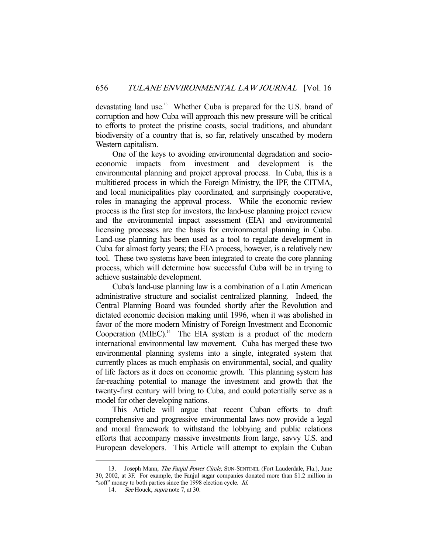devastating land use.<sup>13</sup> Whether Cuba is prepared for the U.S. brand of corruption and how Cuba will approach this new pressure will be critical to efforts to protect the pristine coasts, social traditions, and abundant biodiversity of a country that is, so far, relatively unscathed by modern Western capitalism.

 One of the keys to avoiding environmental degradation and socioeconomic impacts from investment and development is the environmental planning and project approval process. In Cuba, this is a multitiered process in which the Foreign Ministry, the IPF, the CITMA, and local municipalities play coordinated, and surprisingly cooperative, roles in managing the approval process. While the economic review process is the first step for investors, the land-use planning project review and the environmental impact assessment (EIA) and environmental licensing processes are the basis for environmental planning in Cuba. Land-use planning has been used as a tool to regulate development in Cuba for almost forty years; the EIA process, however, is a relatively new tool. These two systems have been integrated to create the core planning process, which will determine how successful Cuba will be in trying to achieve sustainable development.

 Cuba's land-use planning law is a combination of a Latin American administrative structure and socialist centralized planning. Indeed, the Central Planning Board was founded shortly after the Revolution and dictated economic decision making until 1996, when it was abolished in favor of the more modern Ministry of Foreign Investment and Economic Cooperation (MIEC). $<sup>14</sup>$  The EIA system is a product of the modern</sup> international environmental law movement. Cuba has merged these two environmental planning systems into a single, integrated system that currently places as much emphasis on environmental, social, and quality of life factors as it does on economic growth. This planning system has far-reaching potential to manage the investment and growth that the twenty-first century will bring to Cuba, and could potentially serve as a model for other developing nations.

 This Article will argue that recent Cuban efforts to draft comprehensive and progressive environmental laws now provide a legal and moral framework to withstand the lobbying and public relations efforts that accompany massive investments from large, savvy U.S. and European developers. This Article will attempt to explain the Cuban

<sup>13.</sup> Joseph Mann, The Fanjul Power Circle, SUN-SENTINEL (Fort Lauderdale, Fla.), June 30, 2002, at 3F. For example, the Fanjul sugar companies donated more than \$1.2 million in "soft" money to both parties since the 1998 election cycle. Id.

<sup>14.</sup> See Houck, supra note 7, at 30.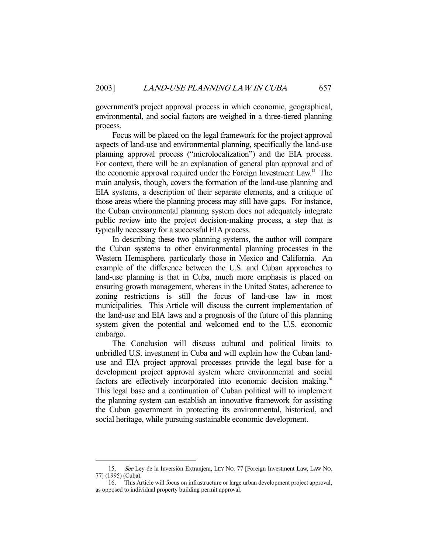government's project approval process in which economic, geographical, environmental, and social factors are weighed in a three-tiered planning process.

 Focus will be placed on the legal framework for the project approval aspects of land-use and environmental planning, specifically the land-use planning approval process ("microlocalization") and the EIA process. For context, there will be an explanation of general plan approval and of the economic approval required under the Foreign Investment Law.15 The main analysis, though, covers the formation of the land-use planning and EIA systems, a description of their separate elements, and a critique of those areas where the planning process may still have gaps. For instance, the Cuban environmental planning system does not adequately integrate public review into the project decision-making process, a step that is typically necessary for a successful EIA process.

 In describing these two planning systems, the author will compare the Cuban systems to other environmental planning processes in the Western Hemisphere, particularly those in Mexico and California. An example of the difference between the U.S. and Cuban approaches to land-use planning is that in Cuba, much more emphasis is placed on ensuring growth management, whereas in the United States, adherence to zoning restrictions is still the focus of land-use law in most municipalities. This Article will discuss the current implementation of the land-use and EIA laws and a prognosis of the future of this planning system given the potential and welcomed end to the U.S. economic embargo.

 The Conclusion will discuss cultural and political limits to unbridled U.S. investment in Cuba and will explain how the Cuban landuse and EIA project approval processes provide the legal base for a development project approval system where environmental and social factors are effectively incorporated into economic decision making.<sup>16</sup> This legal base and a continuation of Cuban political will to implement the planning system can establish an innovative framework for assisting the Cuban government in protecting its environmental, historical, and social heritage, while pursuing sustainable economic development.

 <sup>15.</sup> See Ley de la Inversión Extranjera, LEY NO. 77 [Foreign Investment Law, LAW NO. 77] (1995) (Cuba).

 <sup>16.</sup> This Article will focus on infrastructure or large urban development project approval, as opposed to individual property building permit approval.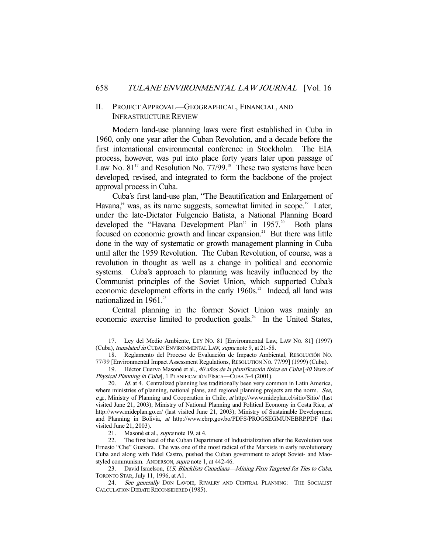## II. PROJECT APPROVAL—GEOGRAPHICAL, FINANCIAL, AND INFRASTRUCTURE REVIEW

 Modern land-use planning laws were first established in Cuba in 1960, only one year after the Cuban Revolution, and a decade before the first international environmental conference in Stockholm. The EIA process, however, was put into place forty years later upon passage of Law No.  $81<sup>17</sup>$  and Resolution No. 77/99.<sup>18</sup> These two systems have been developed, revised, and integrated to form the backbone of the project approval process in Cuba.

 Cuba's first land-use plan, "The Beautification and Enlargement of Havana," was, as its name suggests, somewhat limited in scope.<sup>19</sup> Later, under the late-Dictator Fulgencio Batista, a National Planning Board developed the "Havana Development Plan" in 1957.<sup>20</sup> Both plans focused on economic growth and linear expansion.<sup>21</sup> But there was little done in the way of systematic or growth management planning in Cuba until after the 1959 Revolution. The Cuban Revolution, of course, was a revolution in thought as well as a change in political and economic systems. Cuba's approach to planning was heavily influenced by the Communist principles of the Soviet Union, which supported Cuba's economic development efforts in the early 1960s.<sup>22</sup> Indeed, all land was nationalized in 1961.<sup>23</sup>

 Central planning in the former Soviet Union was mainly an economic exercise limited to production goals.<sup>24</sup> In the United States,

 <sup>17.</sup> Ley del Medio Ambiente, LEY NO. 81 [Environmental Law, LAW NO. 81] (1997) (Cuba), translated in CUBAN ENVIRONMENTAL LAW, supra note 9, at 21-58.

 <sup>18.</sup> Reglamento del Proceso de Evaluación de Impacto Ambiental, RESOLUCIÓN NO. 77/99 [Environmental Impact Assessment Regulations, RESOLUTION NO. 77/99] (1999) (Cuba).

 <sup>19.</sup> Héctor Cuervo Masoné et al., 40 años de la planificación física en Cuba [40 Years of Physical Planning in Cuba], 1 PLANIFICACIÓN FÍSICA-CUBA 3-4 (2001).

<sup>20.</sup> Id. at 4. Centralized planning has traditionally been very common in Latin America, where ministries of planning, national plans, and regional planning projects are the norm. See, e.g., Ministry of Planning and Cooperation in Chile, at http://www.mideplan.cl/sitio/Sitio/ (last visited June 21, 2003); Ministry of National Planning and Political Economy in Costa Rica, at http://www.mideplan.go.cr/ (last visited June 21, 2003); Ministry of Sustainable Development and Planning in Bolivia, at http://www.ebrp.gov.bo/PDFS/PROGSEGMUNEBRP.PDF (last visited June 21, 2003).

<sup>21.</sup> Masoné et al., *supra* note 19, at 4.

 <sup>22.</sup> The first head of the Cuban Department of Industrialization after the Revolution was Ernesto "Che" Guevara. Che was one of the most radical of the Marxists in early revolutionary Cuba and along with Fidel Castro, pushed the Cuban government to adopt Soviet- and Maostyled communism. ANDERSON, supra note 1, at 442-46.

<sup>23.</sup> David Israelson, U.S. Blacklists Canadians—Mining Firm Targeted for Ties to Cuba, TORONTO STAR, July 11, 1996, at A1.

<sup>24.</sup> See generally DON LAVOIE, RIVALRY AND CENTRAL PLANNING: THE SOCIALIST CALCULATION DEBATE RECONSIDERED (1985).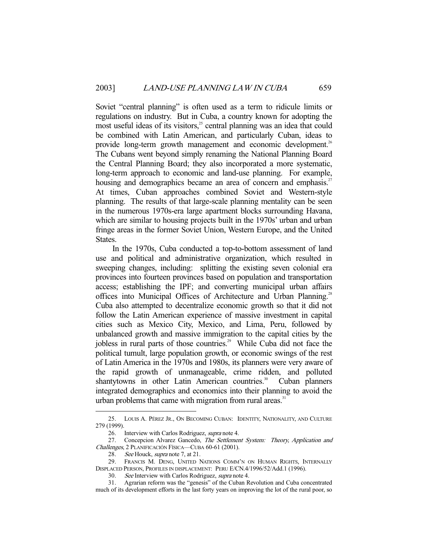Soviet "central planning" is often used as a term to ridicule limits or regulations on industry. But in Cuba, a country known for adopting the most useful ideas of its visitors,<sup>25</sup> central planning was an idea that could be combined with Latin American, and particularly Cuban, ideas to provide long-term growth management and economic development.<sup>26</sup> The Cubans went beyond simply renaming the National Planning Board the Central Planning Board; they also incorporated a more systematic, long-term approach to economic and land-use planning. For example, housing and demographics became an area of concern and emphasis.<sup>27</sup> At times, Cuban approaches combined Soviet and Western-style planning. The results of that large-scale planning mentality can be seen in the numerous 1970s-era large apartment blocks surrounding Havana, which are similar to housing projects built in the 1970s' urban and urban fringe areas in the former Soviet Union, Western Europe, and the United States.

 In the 1970s, Cuba conducted a top-to-bottom assessment of land use and political and administrative organization, which resulted in sweeping changes, including: splitting the existing seven colonial era provinces into fourteen provinces based on population and transportation access; establishing the IPF; and converting municipal urban affairs offices into Municipal Offices of Architecture and Urban Planning.<sup>28</sup> Cuba also attempted to decentralize economic growth so that it did not follow the Latin American experience of massive investment in capital cities such as Mexico City, Mexico, and Lima, Peru, followed by unbalanced growth and massive immigration to the capital cities by the jobless in rural parts of those countries.<sup>29</sup> While Cuba did not face the political tumult, large population growth, or economic swings of the rest of Latin America in the 1970s and 1980s, its planners were very aware of the rapid growth of unmanageable, crime ridden, and polluted shantytowns in other Latin American countries.<sup>30</sup> Cuban planners integrated demographics and economics into their planning to avoid the urban problems that came with migration from rural areas.<sup>31</sup>

 <sup>25.</sup> LOUIS A. PÉREZ JR., ON BECOMING CUBAN: IDENTITY, NATIONALITY, AND CULTURE 279 (1999).

 <sup>26.</sup> Interview with Carlos Rodriguez, supra note 4.

<sup>27.</sup> Concepcion Alvarez Gancedo, The Settlement System: Theory, Application and Challenges, 2 PLANIFICACIÓN FÍSICA—CUBA 60-61 (2001).

<sup>28.</sup> See Houck, supra note 7, at 21.

 <sup>29.</sup> FRANCIS M. DENG, UNITED NATIONS COMM'N ON HUMAN RIGHTS, INTERNALLY DISPLACED PERSON, PROFILES IN DISPLACEMENT: PERU E/CN.4/1996/52/Add.1 (1996).

 <sup>30.</sup> See Interview with Carlos Rodriguez, supra note 4.

 <sup>31.</sup> Agrarian reform was the "genesis" of the Cuban Revolution and Cuba concentrated much of its development efforts in the last forty years on improving the lot of the rural poor, so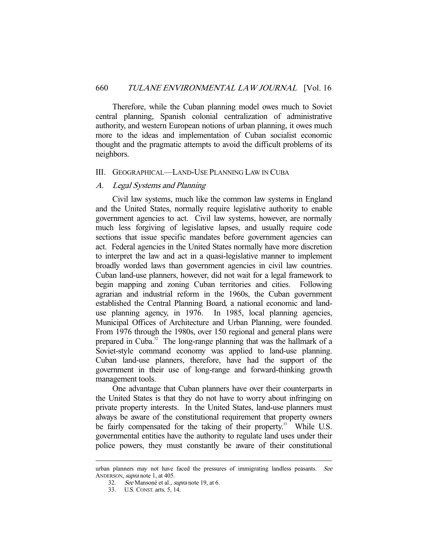Therefore, while the Cuban planning model owes much to Soviet central planning, Spanish colonial centralization of administrative authority, and western European notions of urban planning, it owes much more to the ideas and implementation of Cuban socialist economic thought and the pragmatic attempts to avoid the difficult problems of its neighbors.

#### III. GEOGRAPHICAL—LAND-USE PLANNING LAW IN CUBA

## A. Legal Systems and Planning

 Civil law systems, much like the common law systems in England and the United States, normally require legislative authority to enable government agencies to act. Civil law systems, however, are normally much less forgiving of legislative lapses, and usually require code sections that issue specific mandates before government agencies can act. Federal agencies in the United States normally have more discretion to interpret the law and act in a quasi-legislative manner to implement broadly worded laws than government agencies in civil law countries. Cuban land-use planners, however, did not wait for a legal framework to begin mapping and zoning Cuban territories and cities. Following agrarian and industrial reform in the 1960s, the Cuban government established the Central Planning Board, a national economic and landuse planning agency, in 1976. In 1985, local planning agencies, Municipal Offices of Architecture and Urban Planning, were founded. From 1976 through the 1980s, over 150 regional and general plans were prepared in Cuba.<sup>32</sup> The long-range planning that was the hallmark of a Soviet-style command economy was applied to land-use planning. Cuban land-use planners, therefore, have had the support of the government in their use of long-range and forward-thinking growth management tools.

 One advantage that Cuban planners have over their counterparts in the United States is that they do not have to worry about infringing on private property interests. In the United States, land-use planners must always be aware of the constitutional requirement that property owners be fairly compensated for the taking of their property.<sup>33</sup> While U.S. governmental entities have the authority to regulate land uses under their police powers, they must constantly be aware of their constitutional

urban planners may not have faced the pressures of immigrating landless peasants. See ANDERSON, supra note 1, at 405.

 <sup>32.</sup> See Mansoné et al., supra note 19, at 6.

 <sup>33.</sup> U.S. CONST. arts. 5, 14.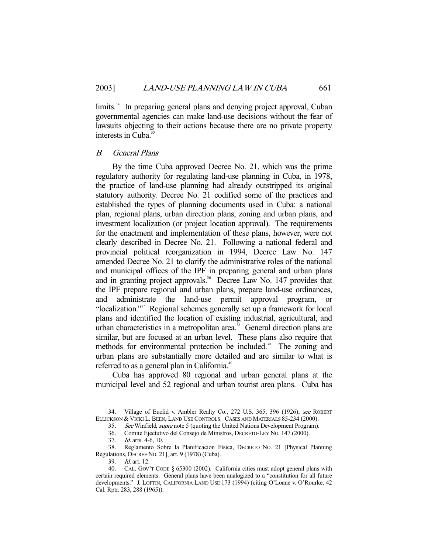limits.<sup>34</sup> In preparing general plans and denying project approval, Cuban governmental agencies can make land-use decisions without the fear of lawsuits objecting to their actions because there are no private property interests in Cuba.<sup>3</sup>

## B. General Plans

 By the time Cuba approved Decree No. 21, which was the prime regulatory authority for regulating land-use planning in Cuba, in 1978, the practice of land-use planning had already outstripped its original statutory authority. Decree No. 21 codified some of the practices and established the types of planning documents used in Cuba: a national plan, regional plans, urban direction plans, zoning and urban plans, and investment localization (or project location approval). The requirements for the enactment and implementation of these plans, however, were not clearly described in Decree No. 21. Following a national federal and provincial political reorganization in 1994, Decree Law No. 147 amended Decree No. 21 to clarify the administrative roles of the national and municipal offices of the IPF in preparing general and urban plans and in granting project approvals.<sup>36</sup> Decree Law No. 147 provides that the IPF prepare regional and urban plans, prepare land-use ordinances, and administrate the land-use permit approval program, or "localization."<sup>37</sup> Regional schemes generally set up a framework for local plans and identified the location of existing industrial, agricultural, and urban characteristics in a metropolitan area.<sup>38</sup> General direction plans are similar, but are focused at an urban level. These plans also require that methods for environmental protection be included.<sup>39</sup> The zoning and urban plans are substantially more detailed and are similar to what is referred to as a general plan in California.<sup>40</sup>

 Cuba has approved 80 regional and urban general plans at the municipal level and 52 regional and urban tourist area plans. Cuba has

 <sup>34.</sup> Village of Euclid v. Ambler Realty Co., 272 U.S. 365, 396 (1926); see ROBERT ELLICKSON & VICKI L. BEEN, LAND USE CONTROLS: CASES AND MATERIALS 85-234 (2000).

<sup>35.</sup> See Winfield, supra note 5 (quoting the United Nations Development Program).

 <sup>36.</sup> Comite Ejectutivo del Consejo de Ministros, DECRETO-LEY NO. 147 (2000).

 <sup>37.</sup> Id. arts. 4-6, 10.

 <sup>38.</sup> Reglamento Sobre la Planificación Física, DECRETO NO. 21 [Physical Planning Regulations, DECREE NO. 21], art. 9 (1978) (Cuba).

 <sup>39.</sup> Id. art. 12.

 <sup>40.</sup> CAL. GOV'T CODE § 65300 (2002). California cities must adopt general plans with certain required elements. General plans have been analogized to a "constitution for all future developments." J. LOFTIN, CALIFORNIA LAND USE 173 (1994) (citing O'Loane v. O'Rourke, 42 Cal. Rptr. 283, 288 (1965)).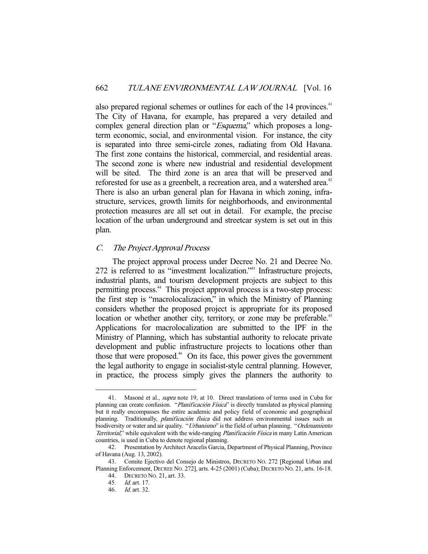also prepared regional schemes or outlines for each of the 14 provinces.<sup>41</sup> The City of Havana, for example, has prepared a very detailed and complex general direction plan or "Esquema," which proposes a longterm economic, social, and environmental vision. For instance, the city is separated into three semi-circle zones, radiating from Old Havana. The first zone contains the historical, commercial, and residential areas. The second zone is where new industrial and residential development will be sited. The third zone is an area that will be preserved and reforested for use as a greenbelt, a recreation area, and a watershed area.<sup>42</sup> There is also an urban general plan for Havana in which zoning, infrastructure, services, growth limits for neighborhoods, and environmental protection measures are all set out in detail. For example, the precise location of the urban underground and streetcar system is set out in this plan.

## C. The Project Approval Process

 The project approval process under Decree No. 21 and Decree No. 272 is referred to as "investment localization."43 Infrastructure projects, industrial plants, and tourism development projects are subject to this permitting process.<sup>44</sup> This project approval process is a two-step process: the first step is "macrolocalizacion," in which the Ministry of Planning considers whether the proposed project is appropriate for its proposed location or whether another city, territory, or zone may be preferable.<sup>45</sup> Applications for macrolocalization are submitted to the IPF in the Ministry of Planning, which has substantial authority to relocate private development and public infrastructure projects to locations other than those that were proposed.<sup>46</sup> On its face, this power gives the government the legal authority to engage in socialist-style central planning. However, in practice, the process simply gives the planners the authority to

 <sup>41.</sup> Masoné et al., supra note 19, at 10. Direct translations of terms used in Cuba for planning can create confusion. "*Planificación Física*" is directly translated as physical planning but it really encompasses the entire academic and policy field of economic and geographical planning. Traditionally, planificación física did not address environmental issues such as biodiversity or water and air quality. "Urbanismo" is the field of urban planning. "Ordenamiento Territorial," while equivalent with the wide-ranging Planificación Física in many Latin American countries, is used in Cuba to denote regional planning.

 <sup>42.</sup> Presentation by Architect Aracelis Garcia, Department of Physical Planning, Province of Havana (Aug. 13, 2002).

 <sup>43.</sup> Comite Ejectivo del Consejo de Ministros, DECRETO NO. 272 [Regional Urban and Planning Enforcement, DECREE NO. 272], arts. 4-25 (2001) (Cuba); DECRETO NO. 21, arts. 16-18.

 <sup>44.</sup> DECRETO NO. 21, art. 33.

 <sup>45.</sup> Id. art. 17.

 <sup>46.</sup> Id. art. 32.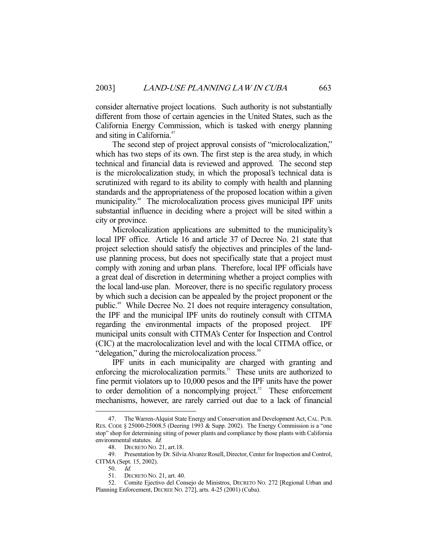consider alternative project locations. Such authority is not substantially different from those of certain agencies in the United States, such as the California Energy Commission, which is tasked with energy planning and siting in California.<sup>47</sup>

 The second step of project approval consists of "microlocalization," which has two steps of its own. The first step is the area study, in which technical and financial data is reviewed and approved. The second step is the microlocalization study, in which the proposal's technical data is scrutinized with regard to its ability to comply with health and planning standards and the appropriateness of the proposed location within a given municipality.<sup>48</sup> The microlocalization process gives municipal IPF units substantial influence in deciding where a project will be sited within a city or province.

 Microlocalization applications are submitted to the municipality's local IPF office. Article 16 and article 37 of Decree No. 21 state that project selection should satisfy the objectives and principles of the landuse planning process, but does not specifically state that a project must comply with zoning and urban plans. Therefore, local IPF officials have a great deal of discretion in determining whether a project complies with the local land-use plan. Moreover, there is no specific regulatory process by which such a decision can be appealed by the project proponent or the public.<sup>49</sup> While Decree No. 21 does not require interagency consultation, the IPF and the municipal IPF units do routinely consult with CITMA regarding the environmental impacts of the proposed project. IPF municipal units consult with CITMA's Center for Inspection and Control (CIC) at the macrolocalization level and with the local CITMA office, or "delegation," during the microlocalization process. $50$ 

 IPF units in each municipality are charged with granting and enforcing the microlocalization permits.<sup>51</sup> These units are authorized to fine permit violators up to 10,000 pesos and the IPF units have the power to order demolition of a noncomplying project.<sup>52</sup> These enforcement mechanisms, however, are rarely carried out due to a lack of financial

 <sup>47.</sup> The Warren-Alquist State Energy and Conservation and Development Act, CAL. PUB. RES. CODE § 25000-25008.5 (Deering 1993 & Supp. 2002). The Energy Commission is a "one stop" shop for determining siting of power plants and compliance by those plants with California environmental statutes. Id.

 <sup>48.</sup> DECRETO NO. 21, art.18.

 <sup>49.</sup> Presentation by Dr. Silvia Alvarez Rosell, Director, Center for Inspection and Control, CITMA (Sept. 15, 2002).

 <sup>50.</sup> Id.

 <sup>51.</sup> DECRETO NO. 21, art. 40.

 <sup>52.</sup> Comite Ejectivo del Consejo de Ministros, DECRETO NO. 272 [Regional Urban and Planning Enforcement, DECREE NO. 272], arts. 4-25 (2001) (Cuba).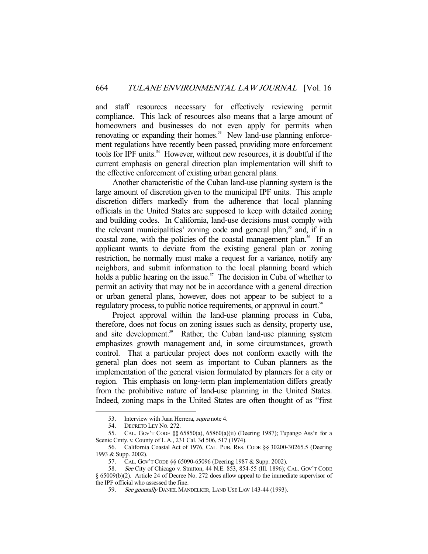and staff resources necessary for effectively reviewing permit compliance. This lack of resources also means that a large amount of homeowners and businesses do not even apply for permits when renovating or expanding their homes.<sup>53</sup> New land-use planning enforcement regulations have recently been passed, providing more enforcement tools for IPF units.<sup>54</sup> However, without new resources, it is doubtful if the current emphasis on general direction plan implementation will shift to the effective enforcement of existing urban general plans.

 Another characteristic of the Cuban land-use planning system is the large amount of discretion given to the municipal IPF units. This ample discretion differs markedly from the adherence that local planning officials in the United States are supposed to keep with detailed zoning and building codes. In California, land-use decisions must comply with the relevant municipalities' zoning code and general plan,<sup>55</sup> and, if in a coastal zone, with the policies of the coastal management plan.<sup>56</sup> If an applicant wants to deviate from the existing general plan or zoning restriction, he normally must make a request for a variance, notify any neighbors, and submit information to the local planning board which holds a public hearing on the issue.<sup>57</sup> The decision in Cuba of whether to permit an activity that may not be in accordance with a general direction or urban general plans, however, does not appear to be subject to a regulatory process, to public notice requirements, or approval in court.<sup>58</sup>

 Project approval within the land-use planning process in Cuba, therefore, does not focus on zoning issues such as density, property use, and site development.<sup>59</sup> Rather, the Cuban land-use planning system emphasizes growth management and, in some circumstances, growth control. That a particular project does not conform exactly with the general plan does not seem as important to Cuban planners as the implementation of the general vision formulated by planners for a city or region. This emphasis on long-term plan implementation differs greatly from the prohibitive nature of land-use planning in the United States. Indeed, zoning maps in the United States are often thought of as "first

<sup>53.</sup> Interview with Juan Herrera, *supra* note 4.

 <sup>54.</sup> DECRETO LEY NO. 272.

 <sup>55.</sup> CAL. GOV'T CODE §§ 65850(a), 65860(a)(ii) (Deering 1987); Tupango Ass'n for a Scenic Cmty. v. County of L.A., 231 Cal. 3d 506, 517 (1974).

 <sup>56.</sup> California Coastal Act of 1976, CAL. PUB. RES. CODE §§ 30200-30265.5 (Deering 1993 & Supp. 2002).

 <sup>57.</sup> CAL. GOV'T CODE §§ 65090-65096 (Deering 1987 & Supp. 2002).

 <sup>58.</sup> See City of Chicago v. Stratton, 44 N.E. 853, 854-55 (Ill. 1896); CAL. GOV'T CODE § 65009(b)(2). Article 24 of Decree No. 272 does allow appeal to the immediate supervisor of the IPF official who assessed the fine.

<sup>59.</sup> See generally DANIEL MANDELKER, LAND USE LAW 143-44 (1993).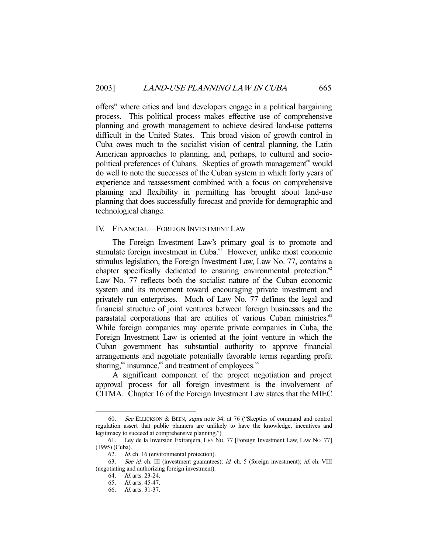offers" where cities and land developers engage in a political bargaining process. This political process makes effective use of comprehensive planning and growth management to achieve desired land-use patterns difficult in the United States. This broad vision of growth control in Cuba owes much to the socialist vision of central planning, the Latin American approaches to planning, and, perhaps, to cultural and sociopolitical preferences of Cubans. Skeptics of growth management<sup>60</sup> would do well to note the successes of the Cuban system in which forty years of experience and reassessment combined with a focus on comprehensive planning and flexibility in permitting has brought about land-use planning that does successfully forecast and provide for demographic and technological change.

## IV. FINANCIAL—FOREIGN INVESTMENT LAW

 The Foreign Investment Law's primary goal is to promote and stimulate foreign investment in Cuba.<sup>61</sup> However, unlike most economic stimulus legislation, the Foreign Investment Law, Law No. 77, contains a chapter specifically dedicated to ensuring environmental protection.<sup>62</sup> Law No. 77 reflects both the socialist nature of the Cuban economic system and its movement toward encouraging private investment and privately run enterprises. Much of Law No. 77 defines the legal and financial structure of joint ventures between foreign businesses and the parastatal corporations that are entities of various Cuban ministries.<sup>63</sup> While foreign companies may operate private companies in Cuba, the Foreign Investment Law is oriented at the joint venture in which the Cuban government has substantial authority to approve financial arrangements and negotiate potentially favorable terms regarding profit sharing,<sup>64</sup> insurance,<sup>65</sup> and treatment of employees.<sup>66</sup>

 A significant component of the project negotiation and project approval process for all foreign investment is the involvement of CITMA. Chapter 16 of the Foreign Investment Law states that the MIEC

<sup>60.</sup> See ELLICKSON & BEEN, *supra* note 34, at 76 ("Skeptics of command and control regulation assert that public planners are unlikely to have the knowledge, incentives and legitimacy to succeed at comprehensive planning.")

 <sup>61.</sup> Ley de la Inversión Extranjera, LEY NO. 77 [Foreign Investment Law, LAW NO. 77] (1995) (Cuba).

 <sup>62.</sup> Id. ch. 16 (environmental protection).

<sup>63.</sup> See id. ch. III (investment guarantees); id. ch. 5 (foreign investment); id. ch. VIII (negotiating and authorizing foreign investment).

 <sup>64.</sup> Id. arts. 23-24.

 <sup>65.</sup> Id. arts. 45-47.

 <sup>66.</sup> Id. arts. 31-37.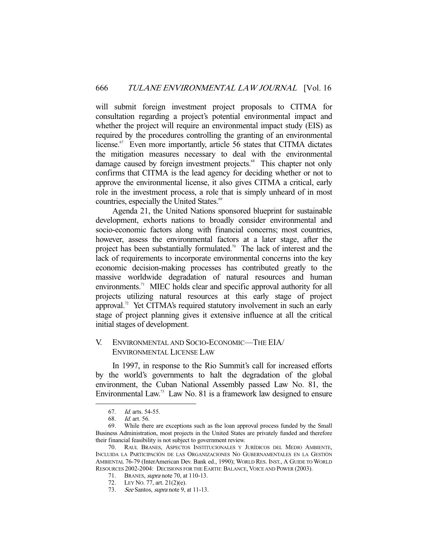will submit foreign investment project proposals to CITMA for consultation regarding a project's potential environmental impact and whether the project will require an environmental impact study (EIS) as required by the procedures controlling the granting of an environmental license.<sup>67</sup> Even more importantly, article 56 states that CITMA dictates the mitigation measures necessary to deal with the environmental damage caused by foreign investment projects.<sup>68</sup> This chapter not only confirms that CITMA is the lead agency for deciding whether or not to approve the environmental license, it also gives CITMA a critical, early role in the investment process, a role that is simply unheard of in most countries, especially the United States.<sup>69</sup>

 Agenda 21, the United Nations sponsored blueprint for sustainable development, exhorts nations to broadly consider environmental and socio-economic factors along with financial concerns; most countries, however, assess the environmental factors at a later stage, after the project has been substantially formulated.<sup>70</sup> The lack of interest and the lack of requirements to incorporate environmental concerns into the key economic decision-making processes has contributed greatly to the massive worldwide degradation of natural resources and human environments.<sup>71</sup> MIEC holds clear and specific approval authority for all projects utilizing natural resources at this early stage of project approval.<sup>72</sup> Yet CITMA's required statutory involvement in such an early stage of project planning gives it extensive influence at all the critical initial stages of development.

## V. ENVIRONMENTAL AND SOCIO-ECONOMIC—THE EIA/ ENVIRONMENTAL LICENSE LAW

 In 1997, in response to the Rio Summit's call for increased efforts by the world's governments to halt the degradation of the global environment, the Cuban National Assembly passed Law No. 81, the Environmental Law.<sup>73</sup> Law No. 81 is a framework law designed to ensure

 <sup>67.</sup> Id. arts. 54-55.

 <sup>68.</sup> Id. art. 56.

 <sup>69.</sup> While there are exceptions such as the loan approval process funded by the Small Business Administration, most projects in the United States are privately funded and therefore their financial feasibility is not subject to government review.

 <sup>70.</sup> RAUL BRANES, ASPECTOS INSTITUCIONALES Y JURÍDICOS DEL MEDIO AMBIENTE, INCLUIDA LA PARTICIPACIÓN DE LAS ORGANIZACIONES NO GUBERNAMENTALES EN LA GESTIÓN AMBIENTAL 76-79 (InterAmerican Dev. Bank ed., 1990); WORLD RES. INST., A GUIDE TO WORLD RESOURCES 2002-2004: DECISIONS FOR THE EARTH: BALANCE, VOICE AND POWER (2003).

 <sup>71.</sup> BRANES, supra note 70, at 110-13.

 <sup>72.</sup> LEY NO. 77, art. 21(2)(e).

<sup>73.</sup> See Santos, *supra* note 9, at 11-13.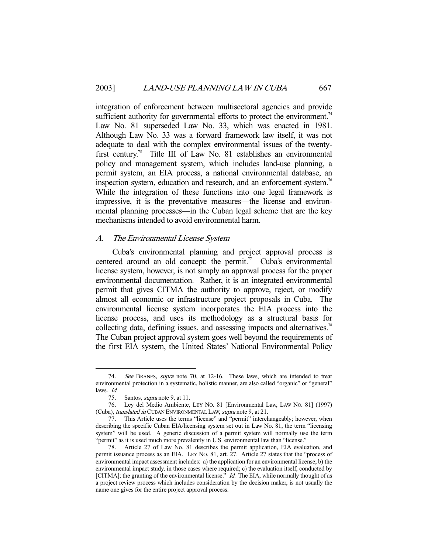integration of enforcement between multisectoral agencies and provide sufficient authority for governmental efforts to protect the environment.<sup>74</sup> Law No. 81 superseded Law No. 33, which was enacted in 1981. Although Law No. 33 was a forward framework law itself, it was not adequate to deal with the complex environmental issues of the twentyfirst century.75 Title III of Law No. 81 establishes an environmental policy and management system, which includes land-use planning, a permit system, an EIA process, a national environmental database, an inspection system, education and research, and an enforcement system.<sup>76</sup> While the integration of these functions into one legal framework is impressive, it is the preventative measures—the license and environmental planning processes—in the Cuban legal scheme that are the key mechanisms intended to avoid environmental harm.

## A. The Environmental License System

 Cuba's environmental planning and project approval process is centered around an old concept: the permit.<sup>77</sup> Cuba's environmental license system, however, is not simply an approval process for the proper environmental documentation. Rather, it is an integrated environmental permit that gives CITMA the authority to approve, reject, or modify almost all economic or infrastructure project proposals in Cuba. The environmental license system incorporates the EIA process into the license process, and uses its methodology as a structural basis for collecting data, defining issues, and assessing impacts and alternatives.<sup>78</sup> The Cuban project approval system goes well beyond the requirements of the first EIA system, the United States' National Environmental Policy

<sup>74.</sup> See BRANES, supra note 70, at 12-16. These laws, which are intended to treat environmental protection in a systematic, holistic manner, are also called "organic" or "general" laws. Id.

 <sup>75.</sup> Santos, supra note 9, at 11.

 <sup>76.</sup> Ley del Medio Ambiente, LEY NO. 81 [Environmental Law, LAW NO. 81] (1997) (Cuba), translated in CUBAN ENVIRONMENTAL LAW, supra note 9, at 21.

 <sup>77.</sup> This Article uses the terms "license" and "permit" interchangeably; however, when describing the specific Cuban EIA/licensing system set out in Law No. 81, the term "licensing system" will be used. A generic discussion of a permit system will normally use the term "permit" as it is used much more prevalently in U.S. environmental law than "license."

 <sup>78.</sup> Article 27 of Law No. 81 describes the permit application, EIA evaluation, and permit issuance process as an EIA. LEY NO. 81, art. 27. Article 27 states that the "process of environmental impact assessment includes: a) the application for an environmental license; b) the environmental impact study, in those cases where required; c) the evaluation itself, conducted by [CITMA]; the granting of the environmental license." *Id.* The EIA, while normally thought of as a project review process which includes consideration by the decision maker, is not usually the name one gives for the entire project approval process.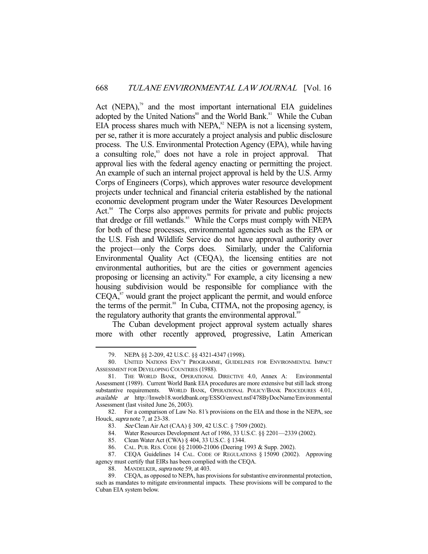Act (NEPA), $\frac{79}{2}$  and the most important international EIA guidelines adopted by the United Nations<sup>80</sup> and the World Bank.<sup>81</sup> While the Cuban  $EIA$  process shares much with NEPA, $82$  NEPA is not a licensing system, per se, rather it is more accurately a project analysis and public disclosure process. The U.S. Environmental Protection Agency (EPA), while having a consulting role,<sup>83</sup> does not have a role in project approval. That approval lies with the federal agency enacting or permitting the project. An example of such an internal project approval is held by the U.S. Army Corps of Engineers (Corps), which approves water resource development projects under technical and financial criteria established by the national economic development program under the Water Resources Development Act.<sup>84</sup> The Corps also approves permits for private and public projects that dredge or fill wetlands.<sup>85</sup> While the Corps must comply with NEPA for both of these processes, environmental agencies such as the EPA or the U.S. Fish and Wildlife Service do not have approval authority over the project—only the Corps does. Similarly, under the California Environmental Quality Act (CEQA), the licensing entities are not environmental authorities, but are the cities or government agencies proposing or licensing an activity.<sup>86</sup> For example, a city licensing a new housing subdivision would be responsible for compliance with the  $CEQA$ ,<sup>87</sup> would grant the project applicant the permit, and would enforce the terms of the permit.<sup>88</sup> In Cuba, CITMA, not the proposing agency, is the regulatory authority that grants the environmental approval.<sup>89</sup>

 The Cuban development project approval system actually shares more with other recently approved, progressive, Latin American

 <sup>79.</sup> NEPA §§ 2-209, 42 U.S.C. §§ 4321-4347 (1998).

 <sup>80.</sup> UNITED NATIONS ENV'T PROGRAMME, GUIDELINES FOR ENVIRONMENTAL IMPACT ASSESSMENT FOR DEVELOPING COUNTRIES (1988).

 <sup>81.</sup> THE WORLD BANK, OPERATIONAL DIRECTIVE 4.0, Annex A: Environmental Assessment (1989). Current World Bank EIA procedures are more extensive but still lack strong substantive requirements. WORLD BANK, OPERATIONAL POLICY/BANK PROCEDURES 4.01, available at http://Inweb18.worldbank.org/ESSO/envext.nsf/478ByDocName/Environmental Assessment (last visited June 26, 2003).

 <sup>82.</sup> For a comparison of Law No. 81's provisions on the EIA and those in the NEPA, see Houck, supra note 7, at 23-38.

 <sup>83.</sup> See Clean Air Act (CAA) § 309, 42 U.S.C. § 7509 (2002).

 <sup>84.</sup> Water Resources Development Act of 1986, 33 U.S.C. §§ 2201—2339 (2002).

 <sup>85.</sup> Clean Water Act (CWA) § 404, 33 U.S.C. § 1344.

 <sup>86.</sup> CAL. PUB. RES. CODE §§ 21000-21006 (Deering 1993 & Supp. 2002).

 <sup>87.</sup> CEQA Guidelines 14 CAL. CODE OF REGULATIONS § 15090 (2002). Approving agency must certify that EIRs has been complied with the CEQA.

<sup>88.</sup> MANDELKER, supra note 59, at 403.

 <sup>89.</sup> CEQA, as opposed to NEPA, has provisions for substantive environmental protection, such as mandates to mitigate environmental impacts. These provisions will be compared to the Cuban EIA system below.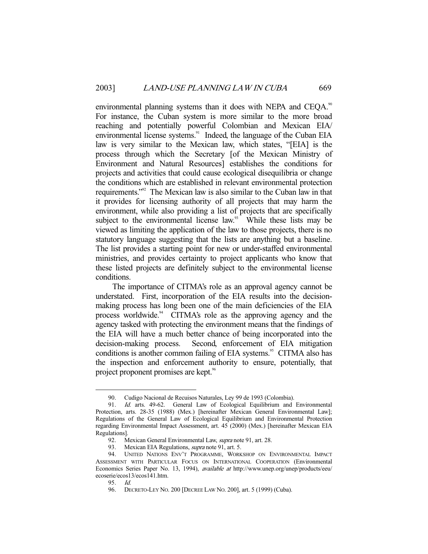environmental planning systems than it does with NEPA and CEQA.<sup>90</sup> For instance, the Cuban system is more similar to the more broad reaching and potentially powerful Colombian and Mexican EIA/ environmental license systems.<sup>91</sup> Indeed, the language of the Cuban EIA law is very similar to the Mexican law, which states, "[EIA] is the process through which the Secretary [of the Mexican Ministry of Environment and Natural Resources] establishes the conditions for projects and activities that could cause ecological disequilibria or change the conditions which are established in relevant environmental protection requirements."92 The Mexican law is also similar to the Cuban law in that it provides for licensing authority of all projects that may harm the environment, while also providing a list of projects that are specifically subject to the environmental license law. $93$  While these lists may be viewed as limiting the application of the law to those projects, there is no statutory language suggesting that the lists are anything but a baseline. The list provides a starting point for new or under-staffed environmental ministries, and provides certainty to project applicants who know that these listed projects are definitely subject to the environmental license conditions.

 The importance of CITMA's role as an approval agency cannot be understated. First, incorporation of the EIA results into the decisionmaking process has long been one of the main deficiencies of the EIA process worldwide.<sup>94</sup> CITMA's role as the approving agency and the agency tasked with protecting the environment means that the findings of the EIA will have a much better chance of being incorporated into the decision-making process. Second, enforcement of EIA mitigation conditions is another common failing of EIA systems.<sup>95</sup> CITMA also has the inspection and enforcement authority to ensure, potentially, that project proponent promises are kept.<sup>96</sup>

 <sup>90.</sup> Cudigo Nacional de Recuisos Naturales, Ley 99 de 1993 (Colombia).

 <sup>91.</sup> Id. arts. 49-62. General Law of Ecological Equilibrium and Environmental Protection, arts. 28-35 (1988) (Mex.) [hereinafter Mexican General Environmental Law]; Regulations of the General Law of Ecological Equilibrium and Environmental Protection regarding Environmental Impact Assessment, art. 45 (2000) (Mex.) [hereinafter Mexican EIA Regulations].

<sup>92.</sup> Mexican General Environmental Law, *supra* note 91, art. 28.

<sup>93.</sup> Mexican EIA Regulations, *supra* note 91, art. 5.

 <sup>94.</sup> UNITED NATIONS ENV'T PROGRAMME, WORKSHOP ON ENVIRONMENTAL IMPACT ASSESSMENT WITH PARTICULAR FOCUS ON INTERNATIONAL COOPERATION (Environmental Economics Series Paper No. 13, 1994), available at http://www.unep.org/unep/products/eeu/ ecoserie/ecos13/ecos141.htm.

 <sup>95.</sup> Id.

 <sup>96.</sup> DECRETO-LEY NO. 200 [DECREE LAW NO. 200], art. 5 (1999) (Cuba).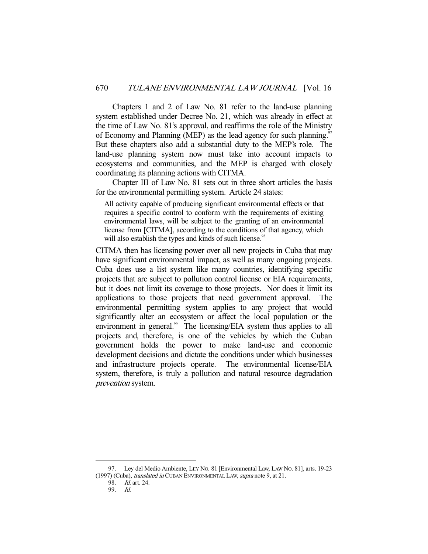Chapters 1 and 2 of Law No. 81 refer to the land-use planning system established under Decree No. 21, which was already in effect at the time of Law No. 81's approval, and reaffirms the role of the Ministry of Economy and Planning (MEP) as the lead agency for such planning.<sup>97</sup> But these chapters also add a substantial duty to the MEP's role. The land-use planning system now must take into account impacts to ecosystems and communities, and the MEP is charged with closely coordinating its planning actions with CITMA.

 Chapter III of Law No. 81 sets out in three short articles the basis for the environmental permitting system. Article 24 states:

All activity capable of producing significant environmental effects or that requires a specific control to conform with the requirements of existing environmental laws, will be subject to the granting of an environmental license from [CITMA], according to the conditions of that agency, which will also establish the types and kinds of such license.<sup>98</sup>

CITMA then has licensing power over all new projects in Cuba that may have significant environmental impact, as well as many ongoing projects. Cuba does use a list system like many countries, identifying specific projects that are subject to pollution control license or EIA requirements, but it does not limit its coverage to those projects. Nor does it limit its applications to those projects that need government approval. The environmental permitting system applies to any project that would significantly alter an ecosystem or affect the local population or the environment in general.<sup>99</sup> The licensing/EIA system thus applies to all projects and, therefore, is one of the vehicles by which the Cuban government holds the power to make land-use and economic development decisions and dictate the conditions under which businesses and infrastructure projects operate. The environmental license/EIA system, therefore, is truly a pollution and natural resource degradation prevention system.

 <sup>97.</sup> Ley del Medio Ambiente, LEY NO. 81 [Environmental Law, LAW NO. 81], arts. 19-23 (1997) (Cuba), *translated in* CUBAN ENVIRONMENTAL LAW, *supra* note 9, at 21.

 <sup>98.</sup> Id. art. 24.

 <sup>99.</sup> Id.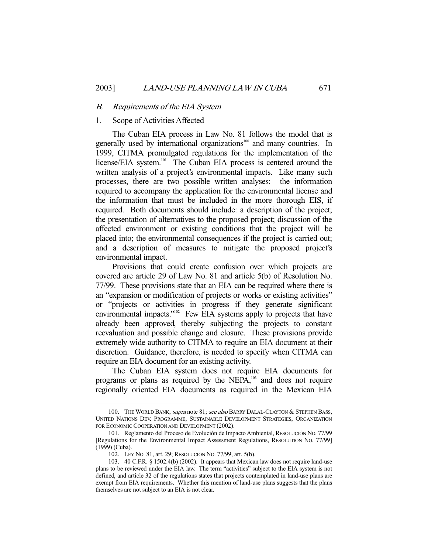#### B. Requirements of the EIA System

## 1. Scope of Activities Affected

 The Cuban EIA process in Law No. 81 follows the model that is generally used by international organizations<sup>100</sup> and many countries. In 1999, CITMA promulgated regulations for the implementation of the license/EIA system.<sup>101</sup> The Cuban EIA process is centered around the written analysis of a project's environmental impacts. Like many such processes, there are two possible written analyses: the information required to accompany the application for the environmental license and the information that must be included in the more thorough EIS, if required. Both documents should include: a description of the project; the presentation of alternatives to the proposed project; discussion of the affected environment or existing conditions that the project will be placed into; the environmental consequences if the project is carried out; and a description of measures to mitigate the proposed project's environmental impact.

 Provisions that could create confusion over which projects are covered are article 29 of Law No. 81 and article 5(b) of Resolution No. 77/99. These provisions state that an EIA can be required where there is an "expansion or modification of projects or works or existing activities" or "projects or activities in progress if they generate significant environmental impacts."<sup>102</sup> Few EIA systems apply to projects that have already been approved, thereby subjecting the projects to constant reevaluation and possible change and closure. These provisions provide extremely wide authority to CITMA to require an EIA document at their discretion. Guidance, therefore, is needed to specify when CITMA can require an EIA document for an existing activity.

 The Cuban EIA system does not require EIA documents for programs or plans as required by the NEPA,<sup>103</sup> and does not require regionally oriented EIA documents as required in the Mexican EIA

<sup>100.</sup> THE WORLD BANK, supra note 81; see also BARRY DALAL-CLAYTON & STEPHEN BASS, UNITED NATIONS DEV. PROGRAMME, SUSTAINABLE DEVELOPMENT STRATEGIES, ORGANIZATION FOR ECONOMIC COOPERATION AND DEVELOPMENT (2002).

 <sup>101.</sup> Reglamento del Proceso de Evolución de Impacto Ambiental, RESOLUCIÓN NO. 77/99 [Regulations for the Environmental Impact Assessment Regulations, RESOLUTION NO. 77/99] (1999) (Cuba).

 <sup>102.</sup> LEY NO. 81, art. 29; RESOLUCIÓN NO. 77/99, art. 5(b).

 <sup>103. 40</sup> C.F.R. § 1502.4(b) (2002). It appears that Mexican law does not require land-use plans to be reviewed under the EIA law. The term "activities" subject to the EIA system is not defined, and article 32 of the regulations states that projects contemplated in land-use plans are exempt from EIA requirements. Whether this mention of land-use plans suggests that the plans themselves are not subject to an EIA is not clear.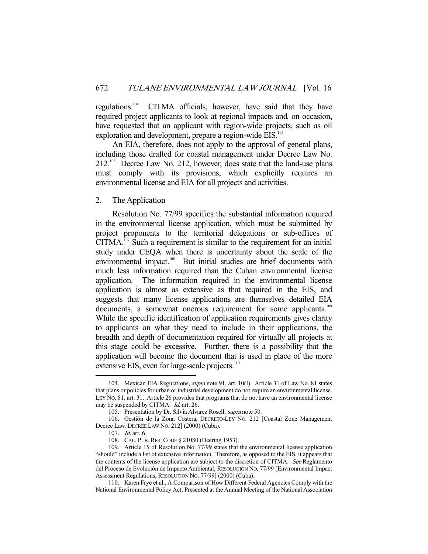regulations.104 CITMA officials, however, have said that they have required project applicants to look at regional impacts and, on occasion, have requested that an applicant with region-wide projects, such as oil exploration and development, prepare a region-wide EIS.<sup>105</sup>

 An EIA, therefore, does not apply to the approval of general plans, including those drafted for coastal management under Decree Law No. 212.106 Decree Law No. 212, however, does state that the land-use plans must comply with its provisions, which explicitly requires an environmental license and EIA for all projects and activities.

2. The Application

 Resolution No. 77/99 specifies the substantial information required in the environmental license application, which must be submitted by project proponents to the territorial delegations or sub-offices of  $CITMA$ .<sup>107</sup> Such a requirement is similar to the requirement for an initial study under CEQA when there is uncertainty about the scale of the environmental impact.<sup>108</sup> But initial studies are brief documents with much less information required than the Cuban environmental license application. The information required in the environmental license application is almost as extensive as that required in the EIS, and suggests that many license applications are themselves detailed EIA documents, a somewhat onerous requirement for some applicants.<sup>109</sup> While the specific identification of application requirements gives clarity to applicants on what they need to include in their applications, the breadth and depth of documentation required for virtually all projects at this stage could be excessive. Further, there is a possibility that the application will become the document that is used in place of the more extensive EIS, even for large-scale projects.<sup>110</sup>

 <sup>104.</sup> Mexican EIA Regulations, supra note 91, art. 10(I). Article 31 of Law No. 81 states that plans or policies for urban or industrial development do not require an environmental license. LEY NO. 81, art. 31. Article 26 provides that programs that do not have an environmental license may be suspended by CITMA. *Id.* art. 26.

 <sup>105.</sup> Presentation by Dr. Silvia Alvarez Rosell, supra note 50.

 <sup>106.</sup> Gestión de la Zona Costera, DECRETO-LEY NO. 212 [Coastal Zone Management Decree Law, DECREE LAW NO. 212] (2000) (Cuba).

 <sup>107.</sup> Id. art. 6.

 <sup>108.</sup> CAL. PUB. RES. CODE § 21080 (Deering 1953).

 <sup>109.</sup> Article 15 of Resolution No. 77/99 states that the environmental license application "should" include a list of extensive information. Therefore, as opposed to the EIS, it appears that the contents of the license application are subject to the discretion of CITMA. See Reglamento del Proceso de Evolución de Impacto Ambiental, RESOLUCIÓN NO. 77/99 [Environmental Impact Assessment Regulations, RESOLUTION NO. 77/99] (2000) (Cuba).

 <sup>110.</sup> Karen Frye et al., A Comparison of How Different Federal Agencies Comply with the National Environmental Policy Act, Presented at the Annual Meeting of the National Association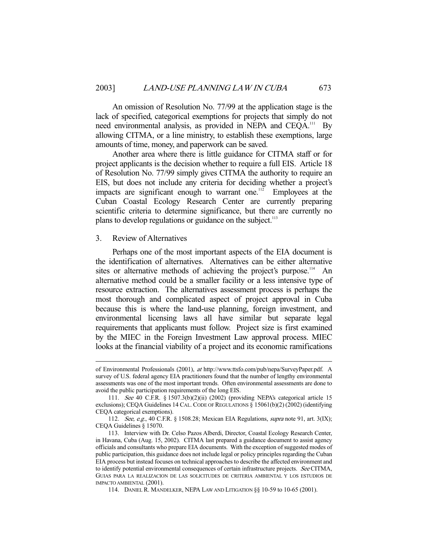An omission of Resolution No. 77/99 at the application stage is the lack of specified, categorical exemptions for projects that simply do not need environmental analysis, as provided in NEPA and CEQA.<sup>111</sup> By allowing CITMA, or a line ministry, to establish these exemptions, large amounts of time, money, and paperwork can be saved.

 Another area where there is little guidance for CITMA staff or for project applicants is the decision whether to require a full EIS. Article 18 of Resolution No. 77/99 simply gives CITMA the authority to require an EIS, but does not include any criteria for deciding whether a project's impacts are significant enough to warrant one.<sup>112</sup> Employees at the Cuban Coastal Ecology Research Center are currently preparing scientific criteria to determine significance, but there are currently no plans to develop regulations or guidance on the subject.<sup>113</sup>

## 3. Review of Alternatives

-

 Perhaps one of the most important aspects of the EIA document is the identification of alternatives. Alternatives can be either alternative sites or alternative methods of achieving the project's purpose.<sup>114</sup> An alternative method could be a smaller facility or a less intensive type of resource extraction. The alternatives assessment process is perhaps the most thorough and complicated aspect of project approval in Cuba because this is where the land-use planning, foreign investment, and environmental licensing laws all have similar but separate legal requirements that applicants must follow. Project size is first examined by the MIEC in the Foreign Investment Law approval process. MIEC looks at the financial viability of a project and its economic ramifications

114. DANIEL R. MANDELKER, NEPA LAW AND LITIGATION §§ 10-59 to 10-65 (2001).

of Environmental Professionals (2001), at http://www.ttsfo.com/pub/nepa/SurveyPaper.pdf. A survey of U.S. federal agency EIA practitioners found that the number of lengthy environmental assessments was one of the most important trends. Often environmental assessments are done to avoid the public participation requirements of the long EIS.

 <sup>111.</sup> See 40 C.F.R. § 1507.3(b)(2)(ii) (2002) (providing NEPA's categorical article 15 exclusions); CEQA Guidelines 14 CAL. CODE OF REGULATIONS § 15061(b)(2) (2002) (identifying CEQA categorical exemptions).

<sup>112.</sup> See, e.g., 40 C.F.R. § 1508.28; Mexican EIA Regulations, supra note 91, art. 3(IX); CEQA Guidelines § 15070.

 <sup>113.</sup> Interview with Dr. Celso Pazos Alberdi, Director, Coastal Ecology Research Center, in Havana, Cuba (Aug. 15, 2002). CITMA last prepared a guidance document to assist agency officials and consultants who prepare EIA documents. With the exception of suggested modes of public participation, this guidance does not include legal or policy principles regarding the Cuban EIA process but instead focuses on technical approaches to describe the affected environment and to identify potential environmental consequences of certain infrastructure projects. See CITMA, GUIAS PARA LA REALIZACION DE LAS SOLICITUDES DE CRITERIA AMBIENTAL Y LOS ESTUDIOS DE IMPACTO AMBIENTAL (2001).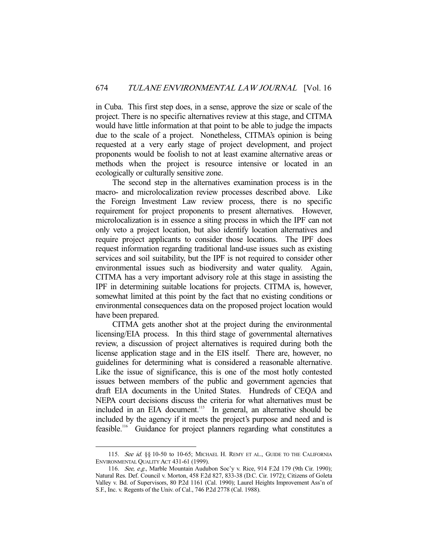in Cuba. This first step does, in a sense, approve the size or scale of the project. There is no specific alternatives review at this stage, and CITMA would have little information at that point to be able to judge the impacts due to the scale of a project. Nonetheless, CITMA's opinion is being requested at a very early stage of project development, and project proponents would be foolish to not at least examine alternative areas or methods when the project is resource intensive or located in an ecologically or culturally sensitive zone.

 The second step in the alternatives examination process is in the macro- and microlocalization review processes described above. Like the Foreign Investment Law review process, there is no specific requirement for project proponents to present alternatives. However, microlocalization is in essence a siting process in which the IPF can not only veto a project location, but also identify location alternatives and require project applicants to consider those locations. The IPF does request information regarding traditional land-use issues such as existing services and soil suitability, but the IPF is not required to consider other environmental issues such as biodiversity and water quality. Again, CITMA has a very important advisory role at this stage in assisting the IPF in determining suitable locations for projects. CITMA is, however, somewhat limited at this point by the fact that no existing conditions or environmental consequences data on the proposed project location would have been prepared.

 CITMA gets another shot at the project during the environmental licensing/EIA process. In this third stage of governmental alternatives review, a discussion of project alternatives is required during both the license application stage and in the EIS itself. There are, however, no guidelines for determining what is considered a reasonable alternative. Like the issue of significance, this is one of the most hotly contested issues between members of the public and government agencies that draft EIA documents in the United States. Hundreds of CEQA and NEPA court decisions discuss the criteria for what alternatives must be included in an EIA document.<sup>115</sup> In general, an alternative should be included by the agency if it meets the project's purpose and need and is feasible.116 Guidance for project planners regarding what constitutes a

<sup>115.</sup> See id. §§ 10-50 to 10-65; MICHAEL H. REMY ET AL., GUIDE TO THE CALIFORNIA ENVIRONMENTAL QUALITY ACT 431-61 (1999).

<sup>116.</sup> See, e.g., Marble Mountain Audubon Soc'y v. Rice, 914 F.2d 179 (9th Cir. 1990); Natural Res. Def. Council v. Morton, 458 F.2d 827, 833-38 (D.C. Cir. 1972); Citizens of Goleta Valley v. Bd. of Supervisors, 80 P.2d 1161 (Cal. 1990); Laurel Heights Improvement Ass'n of S.F., Inc. v. Regents of the Univ. of Cal., 746 P.2d 2778 (Cal. 1988).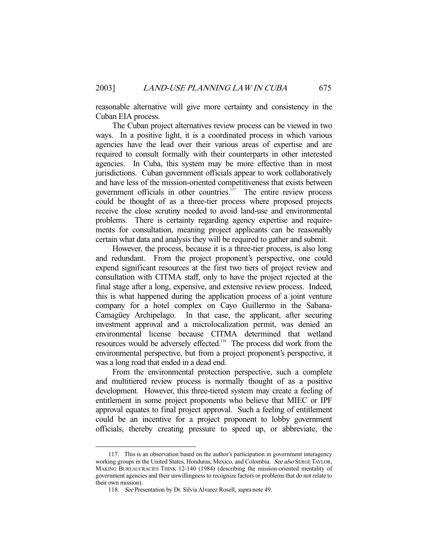reasonable alternative will give more certainty and consistency in the Cuban EIA process.

 The Cuban project alternatives review process can be viewed in two ways. In a positive light, it is a coordinated process in which various agencies have the lead over their various areas of expertise and are required to consult formally with their counterparts in other interested agencies. In Cuba, this system may be more effective than in most jurisdictions. Cuban government officials appear to work collaboratively and have less of the mission-oriented competitiveness that exists between government officials in other countries. $117$  The entire review process could be thought of as a three-tier process where proposed projects receive the close scrutiny needed to avoid land-use and environmental problems. There is certainty regarding agency expertise and requirements for consultation, meaning project applicants can be reasonably certain what data and analysis they will be required to gather and submit.

 However, the process, because it is a three-tier process, is also long and redundant. From the project proponent's perspective, one could expend significant resources at the first two tiers of project review and consultation with CITMA staff, only to have the project rejected at the final stage after a long, expensive, and extensive review process. Indeed, this is what happened during the application process of a joint venture company for a hotel complex on Cayo Guillermo in the Sabana-Camagüey Archipelago. In that case, the applicant, after securing investment approval and a microlocalization permit, was denied an environmental license because CITMA determined that wetland resources would be adversely effected.<sup>118</sup> The process did work from the environmental perspective, but from a project proponent's perspective, it was a long road that ended in a dead end.

 From the environmental protection perspective, such a complete and multitiered review process is normally thought of as a positive development. However, this three-tiered system may create a feeling of entitlement in some project proponents who believe that MIEC or IPF approval equates to final project approval. Such a feeling of entitlement could be an incentive for a project proponent to lobby government officials, thereby creating pressure to speed up, or abbreviate, the

 <sup>117.</sup> This is an observation based on the author's participation in government interagency working groups in the United States, Honduras, Mexico, and Colombia. See also SERGE TAYLOR, MAKING BUREAUCRACIES THINK 12-140 (1984) (describing the mission-oriented mentality of government agencies and their unwillingness to recognize factors or problems that do not relate to their own mission).

<sup>118.</sup> See Presentation by Dr. Silvia Alvarez Rosell, supra note 49.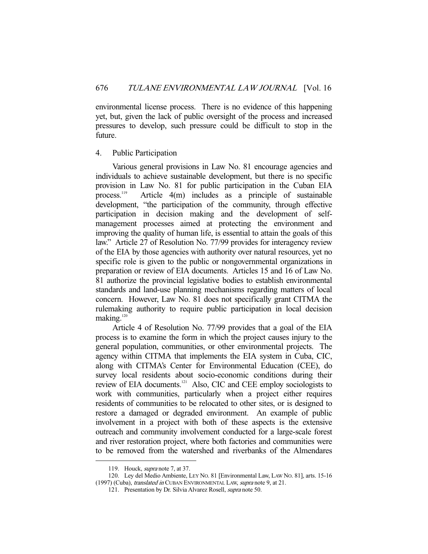environmental license process. There is no evidence of this happening yet, but, given the lack of public oversight of the process and increased pressures to develop, such pressure could be difficult to stop in the future.

## 4. Public Participation

 Various general provisions in Law No. 81 encourage agencies and individuals to achieve sustainable development, but there is no specific provision in Law No. 81 for public participation in the Cuban EIA process.<sup>119</sup> Article 4(m) includes as a principle of sustainable development, "the participation of the community, through effective participation in decision making and the development of selfmanagement processes aimed at protecting the environment and improving the quality of human life, is essential to attain the goals of this law." Article 27 of Resolution No. 77/99 provides for interagency review of the EIA by those agencies with authority over natural resources, yet no specific role is given to the public or nongovernmental organizations in preparation or review of EIA documents. Articles 15 and 16 of Law No. 81 authorize the provincial legislative bodies to establish environmental standards and land-use planning mechanisms regarding matters of local concern. However, Law No. 81 does not specifically grant CITMA the rulemaking authority to require public participation in local decision making.<sup>120</sup>

 Article 4 of Resolution No. 77/99 provides that a goal of the EIA process is to examine the form in which the project causes injury to the general population, communities, or other environmental projects. The agency within CITMA that implements the EIA system in Cuba, CIC, along with CITMA's Center for Environmental Education (CEE), do survey local residents about socio-economic conditions during their review of EIA documents.121 Also, CIC and CEE employ sociologists to work with communities, particularly when a project either requires residents of communities to be relocated to other sites, or is designed to restore a damaged or degraded environment. An example of public involvement in a project with both of these aspects is the extensive outreach and community involvement conducted for a large-scale forest and river restoration project, where both factories and communities were to be removed from the watershed and riverbanks of the Almendares

 <sup>119.</sup> Houck, supra note 7, at 37.

 <sup>120.</sup> Ley del Medio Ambiente, LEY NO. 81 [Environmental Law, LAW NO. 81], arts. 15-16 (1997) (Cuba), translated in CUBAN ENVIRONMENTAL LAW, supra note 9, at 21.

<sup>121.</sup> Presentation by Dr. Silvia Alvarez Rosell, *supra* note 50.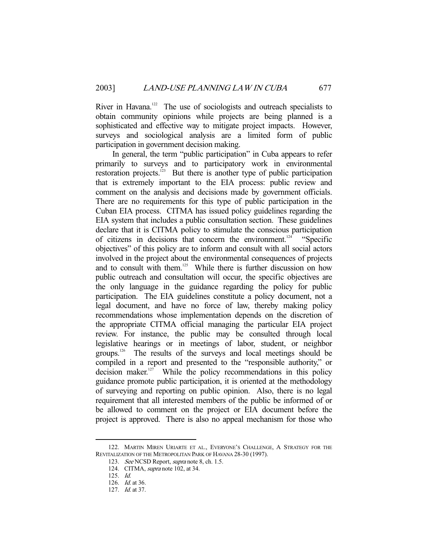River in Havana.<sup>122</sup> The use of sociologists and outreach specialists to obtain community opinions while projects are being planned is a sophisticated and effective way to mitigate project impacts. However, surveys and sociological analysis are a limited form of public participation in government decision making.

 In general, the term "public participation" in Cuba appears to refer primarily to surveys and to participatory work in environmental restoration projects.<sup>123</sup> But there is another type of public participation that is extremely important to the EIA process: public review and comment on the analysis and decisions made by government officials. There are no requirements for this type of public participation in the Cuban EIA process. CITMA has issued policy guidelines regarding the EIA system that includes a public consultation section. These guidelines declare that it is CITMA policy to stimulate the conscious participation of citizens in decisions that concern the environment.<sup>124</sup> "Specific objectives" of this policy are to inform and consult with all social actors involved in the project about the environmental consequences of projects and to consult with them.<sup>125</sup> While there is further discussion on how public outreach and consultation will occur, the specific objectives are the only language in the guidance regarding the policy for public participation. The EIA guidelines constitute a policy document, not a legal document, and have no force of law, thereby making policy recommendations whose implementation depends on the discretion of the appropriate CITMA official managing the particular EIA project review. For instance, the public may be consulted through local legislative hearings or in meetings of labor, student, or neighbor groups.126 The results of the surveys and local meetings should be compiled in a report and presented to the "responsible authority," or decision maker. $127$  While the policy recommendations in this policy guidance promote public participation, it is oriented at the methodology of surveying and reporting on public opinion. Also, there is no legal requirement that all interested members of the public be informed of or be allowed to comment on the project or EIA document before the project is approved. There is also no appeal mechanism for those who

 <sup>122.</sup> MARTIN MIREN URIARTE ET AL., EVERYONE'S CHALLENGE, A STRATEGY FOR THE REVITALIZATION OF THE METROPOLITAN PARK OF HAVANA 28-30 (1997).

<sup>123.</sup> See NCSD Report, *supra* note 8, ch. 1.5.

 <sup>124.</sup> CITMA, supra note 102, at 34.

 <sup>125.</sup> Id.

 <sup>126.</sup> Id. at 36.

 <sup>127.</sup> Id. at 37.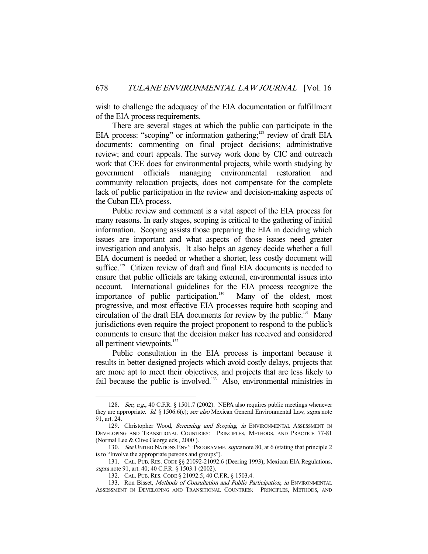wish to challenge the adequacy of the EIA documentation or fulfillment of the EIA process requirements.

 There are several stages at which the public can participate in the EIA process: "scoping" or information gathering; $128$  review of draft EIA documents; commenting on final project decisions; administrative review; and court appeals. The survey work done by CIC and outreach work that CEE does for environmental projects, while worth studying by government officials managing environmental restoration and community relocation projects, does not compensate for the complete lack of public participation in the review and decision-making aspects of the Cuban EIA process.

 Public review and comment is a vital aspect of the EIA process for many reasons. In early stages, scoping is critical to the gathering of initial information. Scoping assists those preparing the EIA in deciding which issues are important and what aspects of those issues need greater investigation and analysis. It also helps an agency decide whether a full EIA document is needed or whether a shorter, less costly document will suffice.<sup>129</sup> Citizen review of draft and final EIA documents is needed to ensure that public officials are taking external, environmental issues into account. International guidelines for the EIA process recognize the importance of public participation.<sup>130</sup> Many of the oldest, most progressive, and most effective EIA processes require both scoping and circulation of the draft EIA documents for review by the public.131 Many jurisdictions even require the project proponent to respond to the public's comments to ensure that the decision maker has received and considered all pertinent viewpoints.<sup>132</sup>

 Public consultation in the EIA process is important because it results in better designed projects which avoid costly delays, projects that are more apt to meet their objectives, and projects that are less likely to fail because the public is involved.<sup>133</sup> Also, environmental ministries in

 <sup>128.</sup> See, e.g., 40 C.F.R. § 1501.7 (2002). NEPA also requires public meetings whenever they are appropriate. Id. § 1506.6(c); see also Mexican General Environmental Law, supra note 91, art. 24.

<sup>129.</sup> Christopher Wood, Screening and Scoping, in ENVIRONMENTAL ASSESSMENT IN DEVELOPING AND TRANSITIONAL COUNTRIES: PRINCIPLES, METHODS, AND PRACTICE 77-81 (Normal Lee & Clive George eds., 2000 ).

<sup>130.</sup> See UNITED NATIONS ENV'T PROGRAMME, supra note 80, at 6 (stating that principle 2 is to "Involve the appropriate persons and groups").

 <sup>131.</sup> CAL. PUB. RES. CODE §§ 21092-21092.6 (Deering 1993); Mexican EIA Regulations, supra note 91, art. 40; 40 C.F.R. § 1503.1 (2002).

 <sup>132.</sup> CAL. PUB. RES. CODE § 21092.5; 40 C.F.R. § 1503.4.

<sup>133.</sup> Ron Bisset, Methods of Consultation and Public Participation, in ENVIRONMENTAL ASSESSMENT IN DEVELOPING AND TRANSITIONAL COUNTRIES: PRINCIPLES, METHODS, AND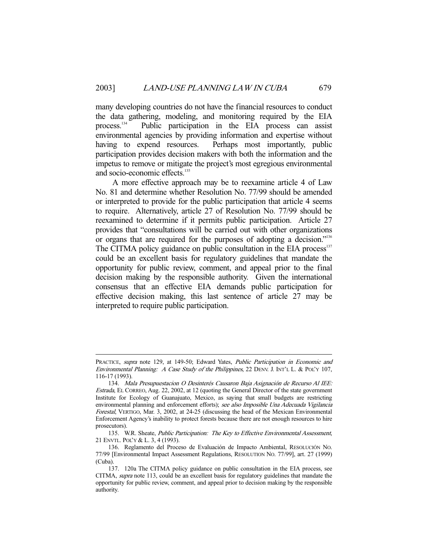many developing countries do not have the financial resources to conduct the data gathering, modeling, and monitoring required by the EIA process.<sup>134</sup> Public participation in the EIA process can assist Public participation in the EIA process can assist environmental agencies by providing information and expertise without having to expend resources. Perhaps most importantly, public participation provides decision makers with both the information and the impetus to remove or mitigate the project's most egregious environmental and socio-economic effects.<sup>135</sup>

 A more effective approach may be to reexamine article 4 of Law No. 81 and determine whether Resolution No. 77/99 should be amended or interpreted to provide for the public participation that article 4 seems to require. Alternatively, article 27 of Resolution No. 77/99 should be reexamined to determine if it permits public participation. Article 27 provides that "consultations will be carried out with other organizations or organs that are required for the purposes of adopting a decision."<sup>136</sup> The CITMA policy guidance on public consultation in the EIA process<sup>137</sup> could be an excellent basis for regulatory guidelines that mandate the opportunity for public review, comment, and appeal prior to the final decision making by the responsible authority. Given the international consensus that an effective EIA demands public participation for effective decision making, this last sentence of article 27 may be interpreted to require public participation.

PRACTICE, supra note 129, at 149-50; Edward Yates, Public Participation in Economic and Environmental Planning: A Case Study of the Philippines, 22 DENV. J. INT'L L. & POL'Y 107, 116-17 (1993).

 <sup>134.</sup> Mala Presupuestacion O Desinterés Causaron Baja Asignación de Recurso Al IEE: Estrada, EL CORREO, Aug. 22, 2002, at 12 (quoting the General Director of the state government Institute for Ecology of Guanajuato, Mexico, as saying that small budgets are restricting environmental planning and enforcement efforts); see also Imposible Una Adecuada Vigilancia Forestal, VERTIGO, Mar. 3, 2002, at 24-25 (discussing the head of the Mexican Environmental Enforcement Agency's inability to protect forests because there are not enough resources to hire prosecutors).

<sup>135.</sup> W.R. Sheate, Public Participation: The Key to Effective Environmental Assessment, 21 ENVTL. POL'Y & L. 3, 4 (1993).

 <sup>136.</sup> Reglamento del Proceso de Evaluación de Impacto Ambiental, RESOLUCIÓN NO. 77/99 [Environmental Impact Assessment Regulations, RESOLUTION NO. 77/99], art. 27 (1999) (Cuba).

 <sup>137. 120</sup>a The CITMA policy guidance on public consultation in the EIA process, see CITMA, supra note 113, could be an excellent basis for regulatory guidelines that mandate the opportunity for public review, comment, and appeal prior to decision making by the responsible authority.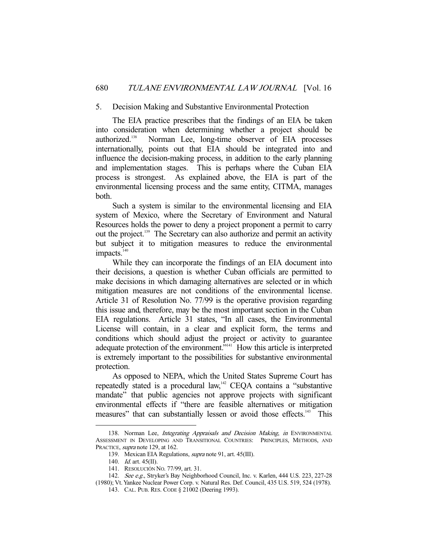## 5. Decision Making and Substantive Environmental Protection

 The EIA practice prescribes that the findings of an EIA be taken into consideration when determining whether a project should be authorized.138 Norman Lee, long-time observer of EIA processes internationally, points out that EIA should be integrated into and influence the decision-making process, in addition to the early planning and implementation stages. This is perhaps where the Cuban EIA process is strongest. As explained above, the EIA is part of the environmental licensing process and the same entity, CITMA, manages both.

 Such a system is similar to the environmental licensing and EIA system of Mexico, where the Secretary of Environment and Natural Resources holds the power to deny a project proponent a permit to carry out the project.139 The Secretary can also authorize and permit an activity but subject it to mitigation measures to reduce the environmental  $impacks.<sup>140</sup>$ 

 While they can incorporate the findings of an EIA document into their decisions, a question is whether Cuban officials are permitted to make decisions in which damaging alternatives are selected or in which mitigation measures are not conditions of the environmental license. Article 31 of Resolution No. 77/99 is the operative provision regarding this issue and, therefore, may be the most important section in the Cuban EIA regulations. Article 31 states, "In all cases, the Environmental License will contain, in a clear and explicit form, the terms and conditions which should adjust the project or activity to guarantee adequate protection of the environment."<sup>141</sup> How this article is interpreted is extremely important to the possibilities for substantive environmental protection.

 As opposed to NEPA, which the United States Supreme Court has repeatedly stated is a procedural law,<sup>142</sup> CEQA contains a "substantive" mandate" that public agencies not approve projects with significant environmental effects if "there are feasible alternatives or mitigation measures" that can substantially lessen or avoid those effects.<sup>143</sup> This

<sup>138.</sup> Norman Lee, *Integrating Appraisals and Decision Making*, *in* ENVIRONMENTAL ASSESSMENT IN DEVELOPING AND TRANSITIONAL COUNTRIES: PRINCIPLES, METHODS, AND PRACTICE, *supra* note 129, at 162.

 <sup>139.</sup> Mexican EIA Regulations, supra note 91, art. 45(III).

 <sup>140.</sup> Id. art. 45(II).

 <sup>141.</sup> RESOLUCIÓN NO. 77/99, art. 31.

<sup>142.</sup> See e.g., Stryker's Bay Neighborhood Council, Inc. v. Karlen, 444 U.S. 223, 227-28 (1980); Vt. Yankee Nuclear Power Corp. v. Natural Res. Def. Council, 435 U.S. 519, 524 (1978).

 <sup>143.</sup> CAL. PUB. RES. CODE § 21002 (Deering 1993).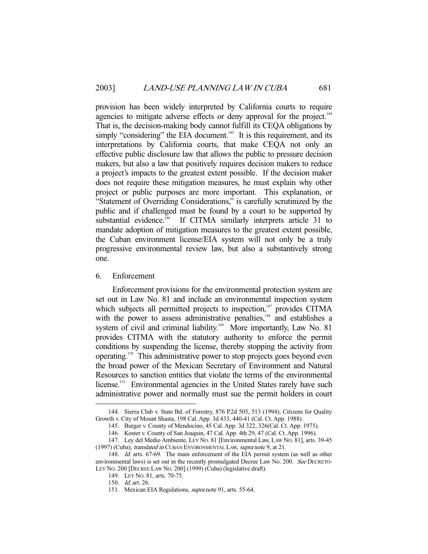provision has been widely interpreted by California courts to require agencies to mitigate adverse effects or deny approval for the project.<sup>144</sup> That is, the decision-making body cannot fulfill its CEQA obligations by simply "considering" the EIA document.<sup>145</sup> It is this requirement, and its interpretations by California courts, that make CEQA not only an effective public disclosure law that allows the public to pressure decision makers, but also a law that positively requires decision makers to reduce a project's impacts to the greatest extent possible. If the decision maker does not require these mitigation measures, he must explain why other project or public purposes are more important. This explanation, or "Statement of Overriding Considerations," is carefully scrutinized by the public and if challenged must be found by a court to be supported by substantial evidence.<sup>146</sup> If CITMA similarly interprets article 31 to mandate adoption of mitigation measures to the greatest extent possible, the Cuban environment license/EIA system will not only be a truly progressive environmental review law, but also a substantively strong one.

#### 6. Enforcement

 Enforcement provisions for the environmental protection system are set out in Law No. 81 and include an environmental inspection system which subjects all permitted projects to inspection,<sup>147</sup> provides CITMA with the power to assess administrative penalties, $148$  and establishes a system of civil and criminal liability.<sup>149</sup> More importantly, Law No. 81 provides CITMA with the statutory authority to enforce the permit conditions by suspending the license, thereby stopping the activity from operating.150 This administrative power to stop projects goes beyond even the broad power of the Mexican Secretary of Environment and Natural Resources to sanction entities that violate the terms of the environmental license.<sup>151</sup> Environmental agencies in the United States rarely have such administrative power and normally must sue the permit holders in court

 <sup>144.</sup> Sierra Club v. State Bd. of Forestry, 876 P.2d 505, 513 (1994); Citizens for Quality Growth v. City of Mount Shasta, 198 Cal. App. 3d 433, 440-41 (Cal. Ct. App. 1988).

 <sup>145.</sup> Burger v. County of Mendocino, 45 Cal. App. 3d 322, 326(Cal. Ct. App. 1975).

 <sup>146.</sup> Koster v. County of San Joaquin, 47 Cal. App. 4th 29, 47 (Cal. Ct. App. 1996).

 <sup>147.</sup> Ley del Medio Ambiente, LEY NO. 81 [Environmental Law, LAW NO. 81], arts. 39-45 (1997) (Cuba), translated in CUBAN ENVIRONMENTAL LAW, supra note 9, at 21.

<sup>148.</sup> *Id.* arts. 67-69. The main enforcement of the EIA permit system (as well as other environmental laws) is set out in the recently promulgated Decree Law No. 200. See DECRETO-LEY NO. 200 [DECREE LAW NO. 200] (1999) (Cuba) (legislative draft).

 <sup>149.</sup> LEY NO. 81, arts. 70-75.

 <sup>150.</sup> Id. art. 26.

<sup>151.</sup> Mexican EIA Regulations, *supra* note 91, arts. 55-64.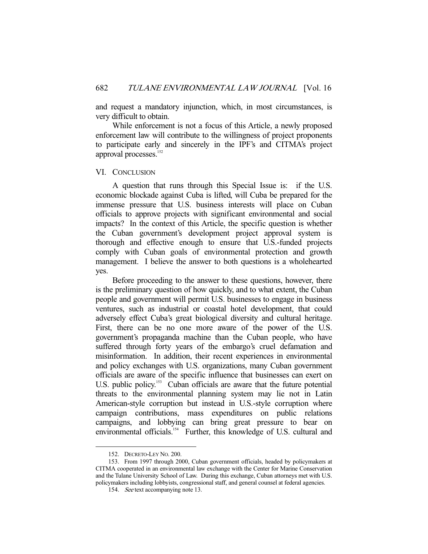and request a mandatory injunction, which, in most circumstances, is very difficult to obtain.

 While enforcement is not a focus of this Article, a newly proposed enforcement law will contribute to the willingness of project proponents to participate early and sincerely in the IPF's and CITMA's project approval processes.<sup>152</sup>

#### VI. CONCLUSION

 A question that runs through this Special Issue is: if the U.S. economic blockade against Cuba is lifted, will Cuba be prepared for the immense pressure that U.S. business interests will place on Cuban officials to approve projects with significant environmental and social impacts? In the context of this Article, the specific question is whether the Cuban government's development project approval system is thorough and effective enough to ensure that U.S.-funded projects comply with Cuban goals of environmental protection and growth management. I believe the answer to both questions is a wholehearted yes.

 Before proceeding to the answer to these questions, however, there is the preliminary question of how quickly, and to what extent, the Cuban people and government will permit U.S. businesses to engage in business ventures, such as industrial or coastal hotel development, that could adversely effect Cuba's great biological diversity and cultural heritage. First, there can be no one more aware of the power of the U.S. government's propaganda machine than the Cuban people, who have suffered through forty years of the embargo's cruel defamation and misinformation. In addition, their recent experiences in environmental and policy exchanges with U.S. organizations, many Cuban government officials are aware of the specific influence that businesses can exert on U.S. public policy.<sup>153</sup> Cuban officials are aware that the future potential threats to the environmental planning system may lie not in Latin American-style corruption but instead in U.S.-style corruption where campaign contributions, mass expenditures on public relations campaigns, and lobbying can bring great pressure to bear on environmental officials.<sup>154</sup> Further, this knowledge of U.S. cultural and

 <sup>152.</sup> DECRETO-LEY NO. 200.

 <sup>153.</sup> From 1997 through 2000, Cuban government officials, headed by policymakers at CITMA cooperated in an environmental law exchange with the Center for Marine Conservation and the Tulane University School of Law. During this exchange, Cuban attorneys met with U.S. policymakers including lobbyists, congressional staff, and general counsel at federal agencies.

<sup>154.</sup> See text accompanying note 13.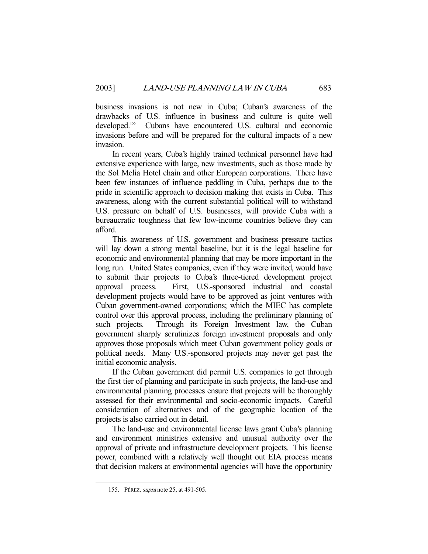business invasions is not new in Cuba; Cuban's awareness of the drawbacks of U.S. influence in business and culture is quite well developed.<sup>155</sup> Cubans have encountered U.S. cultural and economic invasions before and will be prepared for the cultural impacts of a new invasion.

 In recent years, Cuba's highly trained technical personnel have had extensive experience with large, new investments, such as those made by the Sol Melia Hotel chain and other European corporations. There have been few instances of influence peddling in Cuba, perhaps due to the pride in scientific approach to decision making that exists in Cuba. This awareness, along with the current substantial political will to withstand U.S. pressure on behalf of U.S. businesses, will provide Cuba with a bureaucratic toughness that few low-income countries believe they can afford.

 This awareness of U.S. government and business pressure tactics will lay down a strong mental baseline, but it is the legal baseline for economic and environmental planning that may be more important in the long run. United States companies, even if they were invited, would have to submit their projects to Cuba's three-tiered development project approval process. First, U.S.-sponsored industrial and coastal development projects would have to be approved as joint ventures with Cuban government-owned corporations; which the MIEC has complete control over this approval process, including the preliminary planning of such projects. Through its Foreign Investment law, the Cuban government sharply scrutinizes foreign investment proposals and only approves those proposals which meet Cuban government policy goals or political needs. Many U.S.-sponsored projects may never get past the initial economic analysis.

 If the Cuban government did permit U.S. companies to get through the first tier of planning and participate in such projects, the land-use and environmental planning processes ensure that projects will be thoroughly assessed for their environmental and socio-economic impacts. Careful consideration of alternatives and of the geographic location of the projects is also carried out in detail.

 The land-use and environmental license laws grant Cuba's planning and environment ministries extensive and unusual authority over the approval of private and infrastructure development projects. This license power, combined with a relatively well thought out EIA process means that decision makers at environmental agencies will have the opportunity

 <sup>155.</sup> PÉREZ, supra note 25, at 491-505.